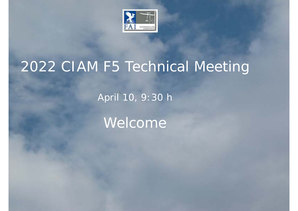

# 2022 CIAM F5 Technical Meeting

April 10, 9:30 h

Welcome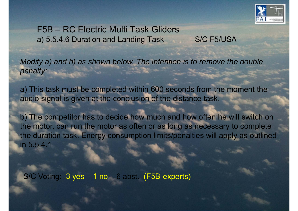

#### F5B – RC Electric Multi Task Gliders a) 5.5.4.6 Duration and Landing Task S/C F5/USA

*Modify a) and b) as shown below. The intention is to remove the double penalty:* 

a) This task must be completed within 600 seconds from the moment the audio signal is given at the conclusion of the distance task.

b) The competitor has to decide how much and how often he will switch on the motor. can run the motor as often or as long as necessary to complete the duration task. Energy consumption limits/penalties will apply as outlined in 5.5.4.1

S/C Voting: 3 yes – 1 no – 6 abst. (F5B-experts)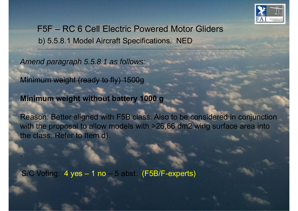

F5F – RC 6 Cell Electric Powered Motor Gliders b) 5.5.8.1 Model Aircraft Specifications. NED

*Amend paragraph 5.5.8.1 as follows:* 

Minimum weight (ready to fly) 1500g

.

**Minimum weight without battery 1000 g**

Reason: Better aligned with F5B class. Also to be considered in conjunction with the proposal to allow models with >26,66 dm2 wing surface area into the class. Refer to Item d).

S/C Voting: 4 yes – 1 no – 5 abst. (F5B/F-experts)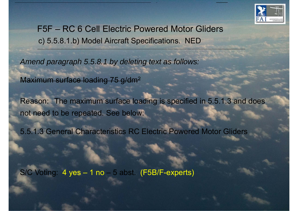

F5F – RC 6 Cell Electric Powered Motor Gliders c) 5.5.8.1.b) Model Aircraft Specifications. NED

*Amend paragraph 5.5.8.1 by deleting text as follows:* 

Maximum surface loading 75 g/dm 2

Reason: The maximum surface loading is specified in 5.5.1.3 and does not need to be repeated. See below:

5.5.1.3 General Characteristics RC Electric Powered Motor Gliders

S/C Voting: 4 yes – 1 no – 5 abst. (F5B/F-experts)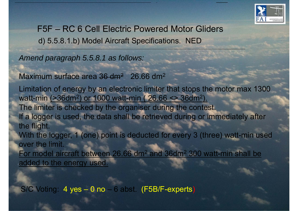

F5F – RC 6 Cell Electric Powered Motor Gliders d) 5.5.8.1.b) Model Aircraft Specifications. NED

*Amend paragraph 5.5.8.1 as follows:* 

Maximum surface area <del>36 dm<sup>2</sup></del> 26.66 dm 2

Limitation of energy by an electronic limiter that stops the motor max 1300 watt-min (>36dm 2) or 1000 watt-min ( 26.66 <> 36dm 2). The limiter is checked by the organiser during the contest. If a logger is used, the data shall be retrieved during or immediately after the flight. With the logger, 1 (one) point is deducted for every 3 (three) watt-min used over the limit. For model aircraft between 26.66 dm 2 and 36dm 2 300 watt-min shall be added to the energy used.

S/C Voting: 4 yes – 0 no – 6 abst. (F5B/F-experts)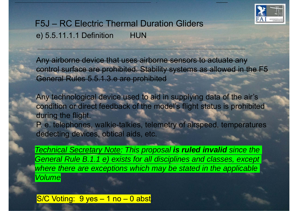

#### F5J – RC Electric Thermal Duration Gliders e) 5.5.11.1.1 Definition HUN

Any airborne device that uses airborne sensors to actuate any control surface are prohibited. Stability systems as allowed in the F5 General Rules 5.5.1.3.e are prohibited

Any technological device used to aid in supplying data of the air's condition or direct feedback of the model's flight status is prohibited during the flight.

P. e. telephones, walkie-talkies, telemetry of airspeed, temperatures dedecting devices, obtical aids, etc.

*Technical Secretary Note: This proposal is ruled invalid since the General Rule B.1.1 e) exists for all disciplines and classes, except where there are exceptions which may be stated in the applicable Volume*

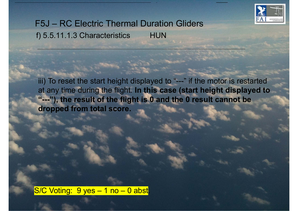

### F5J – RC Electric Thermal Duration Gliders f) 5.5.11.1.3 Characteristics HUN

iii) To reset the start height displayed to "---" if the motor is restarte d at any time during the flight. **In this case (start height displayed to "---"), the result of the flight is 0 and the 0 result cannot be dropped from total score.** 

S/C Voting: 9 yes - 1 no - 0 abst.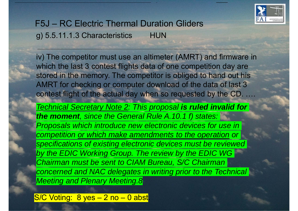

#### F5J – RC Electric Thermal Duration Gliders g) 5.5.11.1.3 Characteristics HUN

iv) The competitor must use an altimeter (AMRT) and firmware in which the last 3 contest flights data of one competition day are stored in the memory. The competitor is obliged to hand out his AMRT for checking or computer download of the data of last 3 contest flight of the actual day when so requested by the CD.

……*Technical Secretary Note 2: This proposal is ruled invalid for the moment, since the General Rule A.10.1 f) states: Proposals which introduce new electronic devices for use in competition or which make amendments to the operation or specifications of existing electronic devices must be reviewed by the EDIC Working Group. The review by the EDIC WG Chairman must be sent to CIAM Bureau, S/C Chairman concerned and NAC delegates in writing prior to the Technical Meeting and Plenary Meeting.8*

S/C Voting: 8 yes - 2 no - 0 abst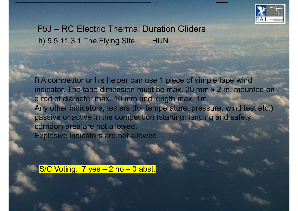

# F5J – RC Electric Thermal Duration Gliders h) 5.5.11.3.1 The Flying Site HUN

f) A competitor or his helper can use 1 piece of simple tape wind indicator. The tape dimension must be max. 20 mm x 2 m, mounted on a rod of diameter max. 10 mm and length max. 1m. Any other indicators, testers (for temperature, pressure, wind test etc.) passive or active in the competition (starting, landing and safety corridor) area are not allowed. Explosive indicators are not allowed.

S/C Voting: 7 yes - 2 no - 0 abst.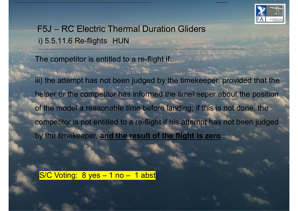

F5J – RC Electric Thermal Duration Gliders i) 5.5.11.6 Re-flights HUN

The competitor is entitled to a re-flight if:

iii) the attempt has not been judged by the timekeeper, provided that the helper or the competitor has informed the timekeeper about the position of the model a reasonable time before landing; if this is not done, the competitor is not entitled to a re-flight if his attempt has not been judged by the timekeeper, **and the result of the flight is zero**.;

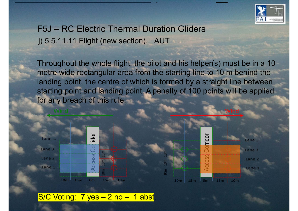

## F5J – RC Electric Thermal Duration Gliders j) 5.5.11.11 Flight (new section). AUT

Throughout the whole flight, the pilot and his helper(s) must be in a 10 metre wide rectangular area from the starting line to 10 m behind the landing point, the centre of which is formed by a straight line between starting point and landing point. A penalty of 100 points will be applied for any breach of this rule.



#### $S/C$  Voting: 7 yes  $-2$  no  $-1$  abst.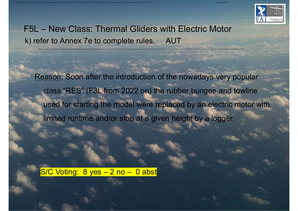

F5L – New Class: Thermal Gliders with Electric Motor k) refer to Annex 7e to complete rules. AUT

Reason: Soon after the introduction of the nowadays very popular class "RES" (F3L from 2022 on) the rubber bungee and towline used for starting the model were replaced by an electric motor with limited runtime and/or stop at a given height by a logger.

S/C Voting: 8 yes – 2 no – 0 abst.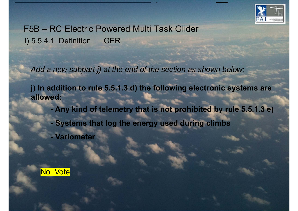

F5B – RC Electric Powered Multi Task Glider l) 5.5.4.1 Definition GER

*Add a new subpart j) at the end of the section as shown below:*

**j) In addition to rule 5.5.1.3 d) the following electronic systems are allowed:**

**- Any kind of telemetry that is not prohibited by rule 5.5.1.3 e )**

**- Systems that log the energy used during climbs**

**- Variometer**

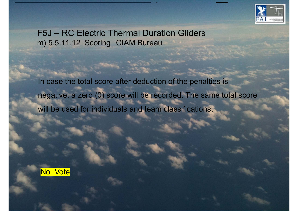

#### F5J – RC Electric Thermal Duration Gliders m) 5.5.11.12 Scoring CIAM Bureau

In case the total score after deduction of the penalties is negative, a zero (0) score will be recorded. The same total score will be used for individuals and team classifications.